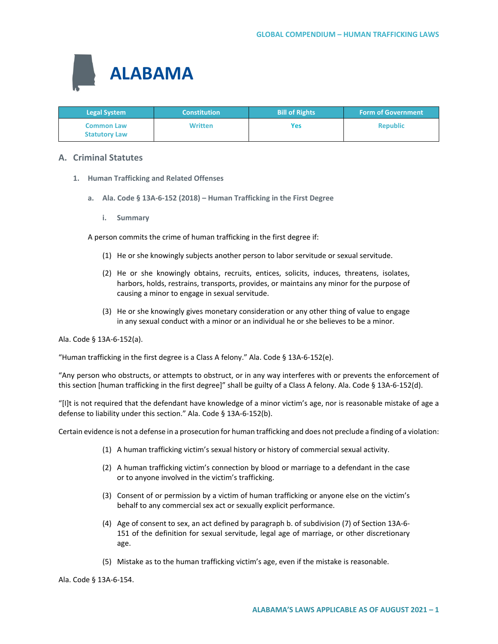

| <b>Legal System</b>                       | <b>Constitution</b> | <b>Bill of Rights</b> | <b>Form of Government</b> |
|-------------------------------------------|---------------------|-----------------------|---------------------------|
| <b>Common Law</b><br><b>Statutory Law</b> | <b>Written</b>      | Yes                   | <b>Republic</b>           |

## **A. Criminal Statutes**

- **1. Human Trafficking and Related Offenses**
	- **a. Ala. Code § 13A-6-152 (2018) – Human Trafficking in the First Degree**
		- **i. Summary**

A person commits the crime of human trafficking in the first degree if:

- (1) He or she knowingly subjects another person to labor servitude or sexual servitude.
- (2) He or she knowingly obtains, recruits, entices, solicits, induces, threatens, isolates, harbors, holds, restrains, transports, provides, or maintains any minor for the purpose of causing a minor to engage in sexual servitude.
- (3) He or she knowingly gives monetary consideration or any other thing of value to engage in any sexual conduct with a minor or an individual he or she believes to be a minor.

Ala. Code § 13A-6-152(a).

"Human trafficking in the first degree is a Class A felony." Ala. Code § 13A-6-152(e).

"Any person who obstructs, or attempts to obstruct, or in any way interferes with or prevents the enforcement of this section [human trafficking in the first degree]" shall be guilty of a Class A felony. Ala. Code § 13A-6-152(d).

"[I]t is not required that the defendant have knowledge of a minor victim's age, nor is reasonable mistake of age a defense to liability under this section." Ala. Code § 13A-6-152(b).

Certain evidence is not a defense in a prosecution for human trafficking and does not preclude a finding of a violation:

- (1) A human trafficking victim's sexual history or history of commercial sexual activity.
- (2) A human trafficking victim's connection by blood or marriage to a defendant in the case or to anyone involved in the victim's trafficking.
- (3) Consent of or permission by a victim of human trafficking or anyone else on the victim's behalf to any commercial sex act or sexually explicit performance.
- (4) Age of consent to sex, an act defined by paragraph b. of subdivision (7) of Section 13A-6- 151 of the definition for sexual servitude, legal age of marriage, or other discretionary age.
- (5) Mistake as to the human trafficking victim's age, even if the mistake is reasonable.

Ala. Code § 13A-6-154.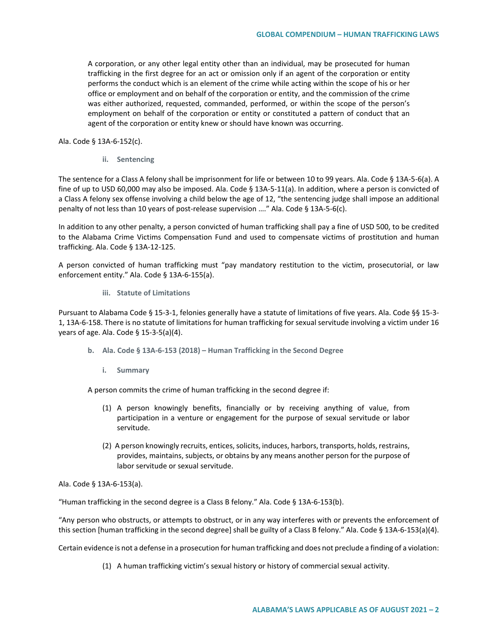A corporation, or any other legal entity other than an individual, may be prosecuted for human trafficking in the first degree for an act or omission only if an agent of the corporation or entity performs the conduct which is an element of the crime while acting within the scope of his or her office or employment and on behalf of the corporation or entity, and the commission of the crime was either authorized, requested, commanded, performed, or within the scope of the person's employment on behalf of the corporation or entity or constituted a pattern of conduct that an agent of the corporation or entity knew or should have known was occurring.

Ala. Code § 13A-6-152(c).

**ii. Sentencing**

The sentence for a Class A felony shall be imprisonment for life or between 10 to 99 years. Ala. Code § 13A-5-6(a). A fine of up to USD 60,000 may also be imposed. Ala. Code § 13A-5-11(a). In addition, where a person is convicted of a Class A felony sex offense involving a child below the age of 12, "the sentencing judge shall impose an additional penalty of not less than 10 years of post-release supervision …." Ala. Code § 13A-5-6(c).

In addition to any other penalty, a person convicted of human trafficking shall pay a fine of USD 500, to be credited to the Alabama Crime Victims Compensation Fund and used to compensate victims of prostitution and human trafficking. Ala. Code § 13A-12-125.

A person convicted of human trafficking must "pay mandatory restitution to the victim, prosecutorial, or law enforcement entity." Ala. Code § 13A-6-155(a).

**iii. Statute of Limitations**

Pursuant to Alabama Code § 15-3-1, felonies generally have a statute of limitations of five years. Ala. Code §§ 15-3- 1, 13A-6-158. There is no statute of limitations for human trafficking for sexual servitude involving a victim under 16 years of age. Ala. Code § 15-3-5(a)(4).

- **b. Ala. Code § 13A-6-153 (2018) – Human Trafficking in the Second Degree**
	- **i. Summary**

A person commits the crime of human trafficking in the second degree if:

- (1) A person knowingly benefits, financially or by receiving anything of value, from participation in a venture or engagement for the purpose of sexual servitude or labor servitude.
- (2) A person knowingly recruits, entices, solicits, induces, harbors, transports, holds, restrains, provides, maintains, subjects, or obtains by any means another person for the purpose of labor servitude or sexual servitude.

Ala. Code § 13A-6-153(a).

"Human trafficking in the second degree is a Class B felony." Ala. Code § 13A-6-153(b).

"Any person who obstructs, or attempts to obstruct, or in any way interferes with or prevents the enforcement of this section [human trafficking in the second degree] shall be guilty of a Class B felony." Ala. Code § 13A-6-153(a)(4).

Certain evidence is not a defense in a prosecution for human trafficking and does not preclude a finding of a violation:

(1) A human trafficking victim's sexual history or history of commercial sexual activity.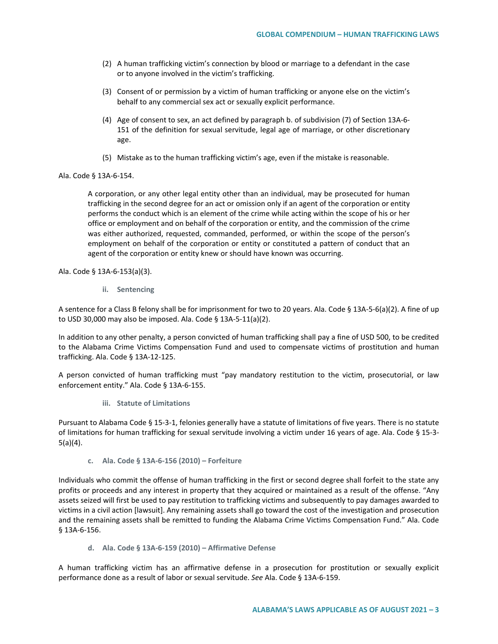- (2) A human trafficking victim's connection by blood or marriage to a defendant in the case or to anyone involved in the victim's trafficking.
- (3) Consent of or permission by a victim of human trafficking or anyone else on the victim's behalf to any commercial sex act or sexually explicit performance.
- (4) Age of consent to sex, an act defined by paragraph b. of subdivision (7) of Section 13A-6- 151 of the definition for sexual servitude, legal age of marriage, or other discretionary age.
- (5) Mistake as to the human trafficking victim's age, even if the mistake is reasonable.

#### Ala. Code § 13A-6-154.

A corporation, or any other legal entity other than an individual, may be prosecuted for human trafficking in the second degree for an act or omission only if an agent of the corporation or entity performs the conduct which is an element of the crime while acting within the scope of his or her office or employment and on behalf of the corporation or entity, and the commission of the crime was either authorized, requested, commanded, performed, or within the scope of the person's employment on behalf of the corporation or entity or constituted a pattern of conduct that an agent of the corporation or entity knew or should have known was occurring.

Ala. Code § 13A-6-153(a)(3).

**ii. Sentencing**

A sentence for a Class B felony shall be for imprisonment for two to 20 years. Ala. Code § 13A-5-6(a)(2). A fine of up to USD 30,000 may also be imposed. Ala. Code § 13A-5-11(a)(2).

In addition to any other penalty, a person convicted of human trafficking shall pay a fine of USD 500, to be credited to the Alabama Crime Victims Compensation Fund and used to compensate victims of prostitution and human trafficking. Ala. Code § 13A-12-125.

A person convicted of human trafficking must "pay mandatory restitution to the victim, prosecutorial, or law enforcement entity." Ala. Code § 13A-6-155.

**iii. Statute of Limitations**

Pursuant to Alabama Code § 15-3-1, felonies generally have a statute of limitations of five years. There is no statute of limitations for human trafficking for sexual servitude involving a victim under 16 years of age. Ala. Code § 15-3- 5(a)(4).

**c. Ala. Code § 13A-6-156 (2010) – Forfeiture**

Individuals who commit the offense of human trafficking in the first or second degree shall forfeit to the state any profits or proceeds and any interest in property that they acquired or maintained as a result of the offense. "Any assets seized will first be used to pay restitution to trafficking victims and subsequently to pay damages awarded to victims in a civil action [lawsuit]. Any remaining assets shall go toward the cost of the investigation and prosecution and the remaining assets shall be remitted to funding the Alabama Crime Victims Compensation Fund." Ala. Code § 13A-6-156.

**d. Ala. Code § 13A-6-159 (2010) – Affirmative Defense** 

A human trafficking victim has an affirmative defense in a prosecution for prostitution or sexually explicit performance done as a result of labor or sexual servitude. *See* Ala. Code § 13A-6-159.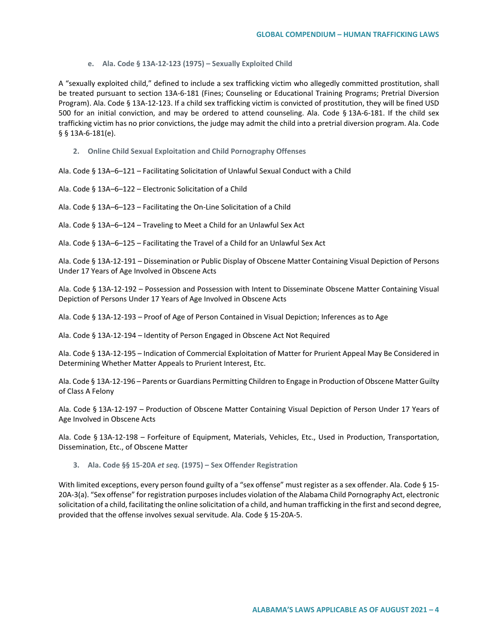#### **e. Ala. Code § 13A-12-123 (1975) – Sexually Exploited Child**

A "sexually exploited child," defined to include a sex trafficking victim who allegedly committed prostitution, shall be treated pursuant to section 13A-6-181 (Fines; Counseling or Educational Training Programs; Pretrial Diversion Program). Ala. Code § 13A-12-123. If a child sex trafficking victim is convicted of prostitution, they will be fined USD 500 for an initial conviction, and may be ordered to attend counseling. Ala. Code § 13A-6-181. If the child sex trafficking victim has no prior convictions, the judge may admit the child into a pretrial diversion program. Ala. Code § § 13A-6-181(e).

**2. Online Child Sexual Exploitation and Child Pornography Offenses**

Ala. Code § 13A–6–121 – Facilitating Solicitation of Unlawful Sexual Conduct with a Child

Ala. Code § 13A–6–122 – Electronic Solicitation of a Child

Ala. Code § 13A–6–123 – Facilitating the On-Line Solicitation of a Child

Ala. Code § 13A–6–124 – Traveling to Meet a Child for an Unlawful Sex Act

Ala. Code § 13A–6–125 – Facilitating the Travel of a Child for an Unlawful Sex Act

Ala. Code § 13A-12-191 – Dissemination or Public Display of Obscene Matter Containing Visual Depiction of Persons Under 17 Years of Age Involved in Obscene Acts

Ala. Code § 13A-12-192 – Possession and Possession with Intent to Disseminate Obscene Matter Containing Visual Depiction of Persons Under 17 Years of Age Involved in Obscene Acts

Ala. Code § 13A-12-193 – Proof of Age of Person Contained in Visual Depiction; Inferences as to Age

Ala. Code § 13A-12-194 – Identity of Person Engaged in Obscene Act Not Required

Ala. Code § 13A-12-195 – Indication of Commercial Exploitation of Matter for Prurient Appeal May Be Considered in Determining Whether Matter Appeals to Prurient Interest, Etc.

Ala. Code § 13A-12-196 – Parents or Guardians Permitting Children to Engage in Production of Obscene Matter Guilty of Class A Felony

Ala. Code § 13A-12-197 – Production of Obscene Matter Containing Visual Depiction of Person Under 17 Years of Age Involved in Obscene Acts

Ala. Code § 13A-12-198 – Forfeiture of Equipment, Materials, Vehicles, Etc., Used in Production, Transportation, Dissemination, Etc., of Obscene Matter

**3. Ala. Code §§ 15-20A** *et seq.* **(1975) – Sex Offender Registration** 

With limited exceptions, every person found guilty of a "sex offense" must register as a sex offender. Ala. Code § 15-20A-3(a). "Sex offense" for registration purposes includes violation of the Alabama Child Pornography Act, electronic solicitation of a child, facilitating the online solicitation of a child, and human trafficking in the first and second degree, provided that the offense involves sexual servitude. Ala. Code § 15-20A-5.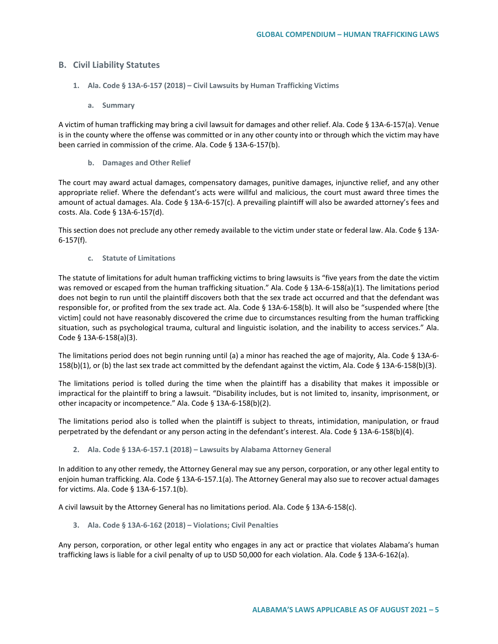# **B. Civil Liability Statutes**

- **1. Ala. Code § 13A-6-157 (2018) – Civil Lawsuits by Human Trafficking Victims**
	- **a. Summary**

A victim of human trafficking may bring a civil lawsuit for damages and other relief. Ala. Code § 13A-6-157(a). Venue is in the county where the offense was committed or in any other county into or through which the victim may have been carried in commission of the crime. Ala. Code § 13A-6-157(b).

**b. Damages and Other Relief**

The court may award actual damages, compensatory damages, punitive damages, injunctive relief, and any other appropriate relief. Where the defendant's acts were willful and malicious, the court must award three times the amount of actual damages. Ala. Code § 13A-6-157(c). A prevailing plaintiff will also be awarded attorney's fees and costs. Ala. Code § 13A-6-157(d).

This section does not preclude any other remedy available to the victim under state or federal law. Ala. Code § 13A-6-157(f).

**c. Statute of Limitations**

The statute of limitations for adult human trafficking victims to bring lawsuits is "five years from the date the victim was removed or escaped from the human trafficking situation." Ala. Code § 13A-6-158(a)(1). The limitations period does not begin to run until the plaintiff discovers both that the sex trade act occurred and that the defendant was responsible for, or profited from the sex trade act. Ala. Code § 13A-6-158(b). It will also be "suspended where [the victim] could not have reasonably discovered the crime due to circumstances resulting from the human trafficking situation, such as psychological trauma, cultural and linguistic isolation, and the inability to access services." Ala. Code § 13A-6-158(a)(3).

The limitations period does not begin running until (a) a minor has reached the age of majority, Ala. Code § 13A-6- 158(b)(1), or (b) the last sex trade act committed by the defendant against the victim, Ala. Code § 13A-6-158(b)(3).

The limitations period is tolled during the time when the plaintiff has a disability that makes it impossible or impractical for the plaintiff to bring a lawsuit. "Disability includes, but is not limited to, insanity, imprisonment, or other incapacity or incompetence." Ala. Code § 13A-6-158(b)(2).

The limitations period also is tolled when the plaintiff is subject to threats, intimidation, manipulation, or fraud perpetrated by the defendant or any person acting in the defendant's interest. Ala. Code § 13A-6-158(b)(4).

**2. Ala. Code § 13A-6-157.1 (2018) – Lawsuits by Alabama Attorney General**

In addition to any other remedy, the Attorney General may sue any person, corporation, or any other legal entity to enjoin human trafficking. Ala. Code § 13A-6-157.1(a). The Attorney General may also sue to recover actual damages for victims. Ala. Code § 13A-6-157.1(b).

A civil lawsuit by the Attorney General has no limitations period. Ala. Code § 13A-6-158(c).

**3. Ala. Code § 13A-6-162 (2018) – Violations; Civil Penalties**

Any person, corporation, or other legal entity who engages in any act or practice that violates Alabama's human trafficking laws is liable for a civil penalty of up to USD 50,000 for each violation. Ala. Code § 13A-6-162(a).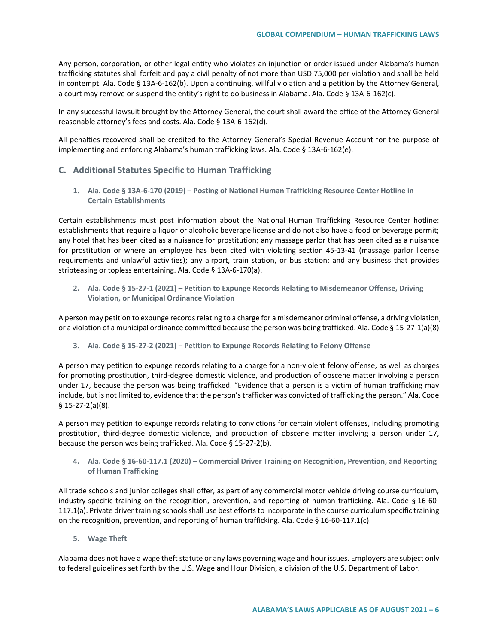Any person, corporation, or other legal entity who violates an injunction or order issued under Alabama's human trafficking statutes shall forfeit and pay a civil penalty of not more than USD 75,000 per violation and shall be held in contempt. Ala. Code § 13A-6-162(b). Upon a continuing, willful violation and a petition by the Attorney General, a court may remove or suspend the entity's right to do business in Alabama. Ala. Code § 13A-6-162(c).

In any successful lawsuit brought by the Attorney General, the court shall award the office of the Attorney General reasonable attorney's fees and costs. Ala. Code § 13A-6-162(d).

All penalties recovered shall be credited to the Attorney General's Special Revenue Account for the purpose of implementing and enforcing Alabama's human trafficking laws. Ala. Code § 13A-6-162(e).

### **C. Additional Statutes Specific to Human Trafficking**

**1. Ala. Code § 13A-6-170 (2019) – Posting of National Human Trafficking Resource Center Hotline in Certain Establishments**

Certain establishments must post information about the National Human Trafficking Resource Center hotline: establishments that require a liquor or alcoholic beverage license and do not also have a food or beverage permit; any hotel that has been cited as a nuisance for prostitution; any massage parlor that has been cited as a nuisance for prostitution or where an employee has been cited with violating section 45-13-41 (massage parlor license requirements and unlawful activities); any airport, train station, or bus station; and any business that provides stripteasing or topless entertaining. Ala. Code § 13A-6-170(a).

**2. Ala. Code § 15-27-1 (2021) – Petition to Expunge Records Relating to Misdemeanor Offense, Driving Violation, or Municipal Ordinance Violation**

A person may petition to expunge records relating to a charge for a misdemeanor criminal offense, a driving violation, or a violation of a municipal ordinance committed because the person was being trafficked. Ala. Code § 15-27-1(a)(8).

**3. Ala. Code § 15-27-2 (2021) – Petition to Expunge Records Relating to Felony Offense**

A person may petition to expunge records relating to a charge for a non-violent felony offense, as well as charges for promoting prostitution, third-degree domestic violence, and production of obscene matter involving a person under 17, because the person was being trafficked. "Evidence that a person is a victim of human trafficking may include, but is not limited to, evidence that the person's trafficker was convicted of trafficking the person." Ala. Code § 15-27-2(a)(8).

A person may petition to expunge records relating to convictions for certain violent offenses, including promoting prostitution, third-degree domestic violence, and production of obscene matter involving a person under 17, because the person was being trafficked. Ala. Code § 15-27-2(b).

**4. Ala. Code § 16-60-117.1 (2020) – Commercial Driver Training on Recognition, Prevention, and Reporting of Human Trafficking**

All trade schools and junior colleges shall offer, as part of any commercial motor vehicle driving course curriculum, industry-specific training on the recognition, prevention, and reporting of human trafficking. Ala. Code § 16-60- 117.1(a). Private driver training schools shall use best efforts to incorporate in the course curriculum specific training on the recognition, prevention, and reporting of human trafficking. Ala. Code § 16-60-117.1(c).

**5. Wage Theft**

Alabama does not have a wage theft statute or any laws governing wage and hour issues. Employers are subject only to federal guidelines set forth by the U.S. Wage and Hour Division, a division of the U.S. Department of Labor.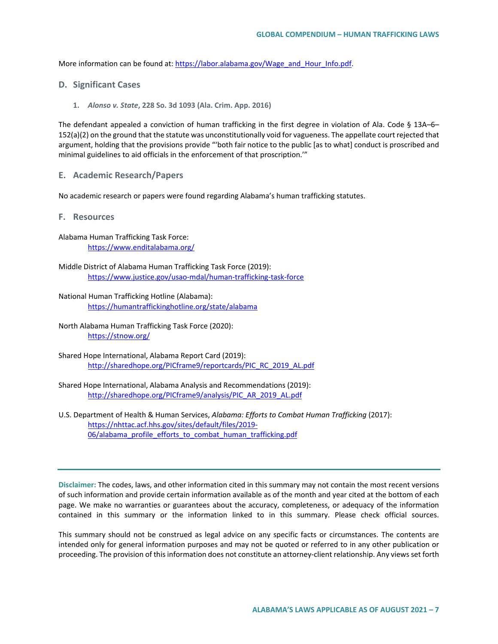More information can be found at[: https://labor.alabama.gov/Wage\\_and\\_Hour\\_Info.pdf.](https://labor.alabama.gov/Wage_and_Hour_Info.pdf)

- **D. Significant Cases**
	- **1.** *Alonso v. State***, 228 So. 3d 1093 (Ala. Crim. App. 2016)**

The defendant appealed a conviction of human trafficking in the first degree in violation of Ala. Code § 13A–6– 152(a)(2) on the ground that the statute was unconstitutionally void for vagueness. The appellate court rejected that argument, holding that the provisions provide "'both fair notice to the public [as to what] conduct is proscribed and minimal guidelines to aid officials in the enforcement of that proscription.'"

**E. Academic Research/Papers**

No academic research or papers were found regarding Alabama's human trafficking statutes.

- **F. Resources**
- Alabama Human Trafficking Task Force: <https://www.enditalabama.org/>
- Middle District of Alabama Human Trafficking Task Force (2019): <https://www.justice.gov/usao-mdal/human-trafficking-task-force>
- National Human Trafficking Hotline (Alabama): <https://humantraffickinghotline.org/state/alabama>
- North Alabama Human Trafficking Task Force (2020): <https://stnow.org/>
- Shared Hope International, Alabama Report Card (2019): [http://sharedhope.org/PICframe9/reportcards/PIC\\_RC\\_2019\\_AL.pdf](http://sharedhope.org/PICframe9/reportcards/PIC_RC_2019_AL.pdf)
- Shared Hope International, Alabama Analysis and Recommendations (2019): [http://sharedhope.org/PICframe9/analysis/PIC\\_AR\\_2019\\_AL.pdf](http://sharedhope.org/PICframe9/analysis/PIC_AR_2019_AL.pdf)
- U.S. Department of Health & Human Services, *Alabama: Efforts to Combat Human Trafficking* (2017): [https://nhttac.acf.hhs.gov/sites/default/files/2019-](https://nhttac.acf.hhs.gov/sites/default/files/2019-06/alabama_profile_efforts_to_combat_human_trafficking.pdf) [06/alabama\\_profile\\_efforts\\_to\\_combat\\_human\\_trafficking.pdf](https://nhttac.acf.hhs.gov/sites/default/files/2019-06/alabama_profile_efforts_to_combat_human_trafficking.pdf)

**Disclaimer:** The codes, laws, and other information cited in this summary may not contain the most recent versions of such information and provide certain information available as of the month and year cited at the bottom of each page. We make no warranties or guarantees about the accuracy, completeness, or adequacy of the information contained in this summary or the information linked to in this summary. Please check official sources.

This summary should not be construed as legal advice on any specific facts or circumstances. The contents are intended only for general information purposes and may not be quoted or referred to in any other publication or proceeding. The provision of this information does not constitute an attorney-client relationship. Any views set forth